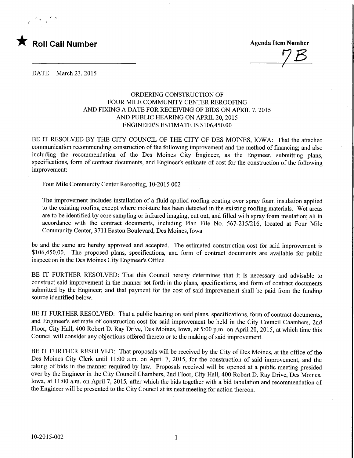

 $7B$ 

DATE March 23, 2015

## ORDERING CONSTRUCTION OF FOUR MILE COMMUNITY CENTER REROOFING AND FIXING A DATE FOR RECEIVING OF BIDS ON APRIL 7, 2015 AND PUBLIC HEARING ON APRIL 20,2015 ENGINEER'S ESTIMATE IS \$106,450.00

BE IT RESOLVED BY THE CITY COUNCIL OF THE CITY OF DES MOINES, IOWA: That the attached communication recommending construction of the following improvement and the method of financing; and also including the recommendation of the Des Moines City Engineer, as the Engineer, submitting plans, specifications, form of contract documents, and Engineer's estimate of cost for the construction of the following improvement:

Four Mile Community Center Reroofing, 10-2015-002

The improvement includes installation of a fluid applied roofing coating over spray foam insulation applied to the existing roofing except where moisture has been detected in the existing roofing materials. Wet areas are to be identified by core sampling or infrared imaging, cut out, and filled with spray foam insulation; all in accordance with the contract documents, including Plan File No. 567-215/216, located at Four Mile Community Center, 3711 Easton Boulevard, Des Moines, Iowa

be and the same are hereby approved and accepted. The estimated construction cost for said improvement is \$106,450.00. The proposed plans, specifications, and form of contract documents are available for public inspection in the Des Moines City Engineer's Office.

BE IT FURTHER RESOLVED: That this Council hereby determines that it is necessary and advisable to construct said improvement in the manner set forth in the plans, specifications, and form of contract documents submitted by the Engineer; and that payment for the cost of said improvement shall be paid from the funding source identified below.

BE IT FURTHER RESOLVED: That a public hearing on said plans, specifications, form of contract documents, and Engineer's estimate of construction cost for said improvement be held in the City Council Chambers, 2nd Floor, City Hall, 400 Robert D. Ray Drive, Des Moines, Iowa, at 5:00 p.m. on April 20, 2015, at which time this Council will consider any objections offered thereto or to the making of said improvement.

BE IT FURTHER RESOLVED: That proposals will be received by the City of Des Moines, at the office of the Des Moines City Clerk until 11:00 a.m. on April 7, 2015, for the construction of said improvement, and the taking of bids in the manner required by law. Proposals received will be opened at a public meeting presided over by the Engineer in the City Council Chambers, 2nd Floor, City Hall, 400 Robert D. Ray Drive, Des Moines, Iowa, at 11:00 a.m. on April 7, 2015, after which the bids together with a bid tabulation and recommendation of the Engineer will be presented to the City Council at its next meeting for action thereon.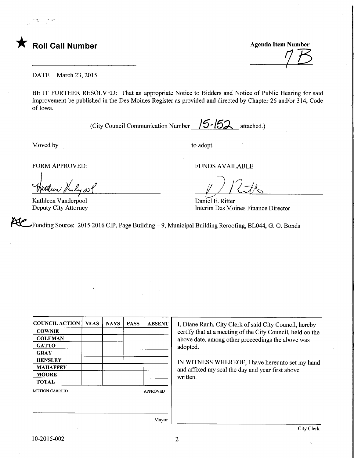

**Agenda Item Number** 

DATE March 23, 2015

BE IT FURTHER RESOLVED: That an appropriate Notice to Bidders and Notice of Public Hearing for said improvement be published in the Des Moines Register as provided and directed by Chapter 26 and/or 314, Code of Iowa.

(City Council Communication Number  $/5$ - $/52$  attached.)

Moved by to adopt.

FORM APPROVED: FUNDS AVAILABLE

ronds AVAILABLE

Daniel E. Ritter Interim Des Moines Finance Director

Kathleen Vanderpool Deputy City Attorney

Funding Source: 2015-2016 CIP, Page Building - 9, Municipal Building Reroofing, BL044, G. O. Bonds

| <b>COUNCIL ACTION</b> | <b>YEAS</b> | <b>NAYS</b>     | <b>PASS</b> | <b>ABSENT</b> |  |  |
|-----------------------|-------------|-----------------|-------------|---------------|--|--|
| <b>COWNIE</b>         |             |                 |             |               |  |  |
| <b>COLEMAN</b>        |             |                 |             |               |  |  |
| <b>GATTO</b>          |             |                 |             |               |  |  |
| <b>GRAY</b>           |             |                 |             |               |  |  |
| <b>HENSLEY</b>        |             |                 |             |               |  |  |
| <b>MAHAFFEY</b>       |             |                 |             |               |  |  |
| <b>MOORE</b>          |             |                 |             |               |  |  |
| <b>TOTAL</b>          |             |                 |             |               |  |  |
| <b>MOTION CARRIED</b> |             | <b>APPROVED</b> |             |               |  |  |
|                       |             |                 |             |               |  |  |
|                       |             |                 |             | - -           |  |  |

I, Diane Rauh, City Clerk of said City Council, hereby certify that at a meeting of the City Council, held on the above date, among other proceedings the above was adopted.

IN WITNESS WHEREOF, I have hereunto set my hand and affixed my seal the day and year first above written.

Mayor